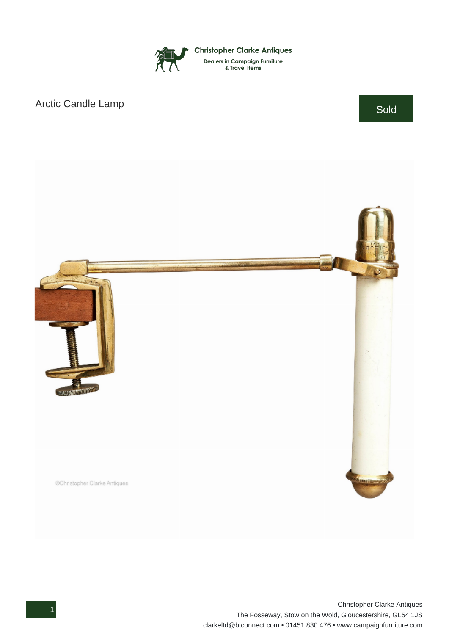

## Arctic Candle Lamp Sold